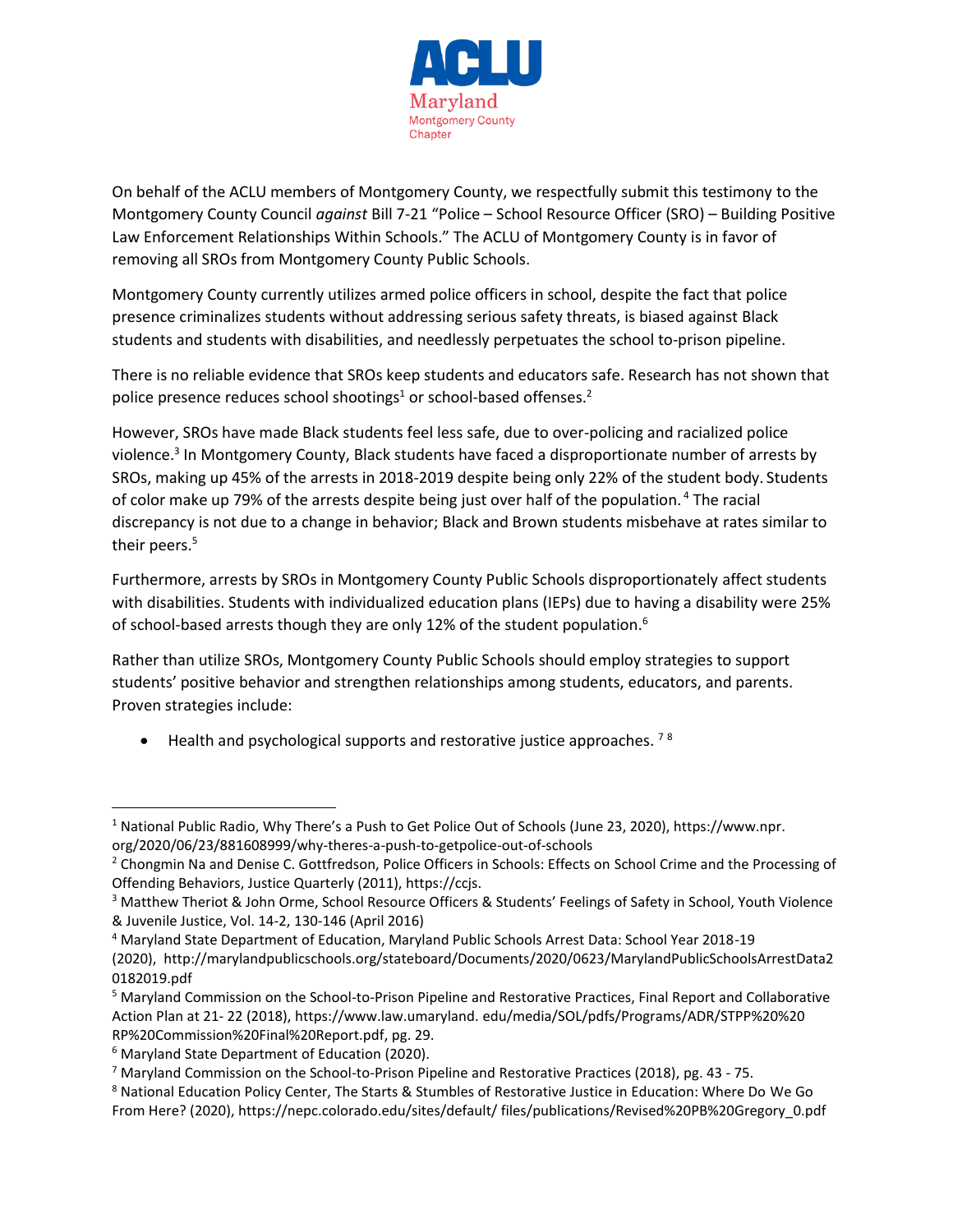

On behalf of the ACLU members of Montgomery County, we respectfully submit this testimony to the Montgomery County Council *against* Bill 7-21 "Police – School Resource Officer (SRO) – Building Positive Law Enforcement Relationships Within Schools." The ACLU of Montgomery County is in favor of removing all SROs from Montgomery County Public Schools.

Montgomery County currently utilizes armed police officers in school, despite the fact that police presence criminalizes students without addressing serious safety threats, is biased against Black students and students with disabilities, and needlessly perpetuates the school to-prison pipeline.

There is no reliable evidence that SROs keep students and educators safe. Research has not shown that police presence reduces school shootings<sup>1</sup> or school-based offenses.<sup>2</sup>

However, SROs have made Black students feel less safe, due to over-policing and racialized police violence.<sup>3</sup> In Montgomery County, Black students have faced a disproportionate number of arrests by SROs, making up 45% of the arrests in 2018-2019 despite being only 22% of the student body. Students of color make up 79% of the arrests despite being just over half of the population. <sup>4</sup> The racial discrepancy is not due to a change in behavior; Black and Brown students misbehave at rates similar to their peers.<sup>5</sup>

Furthermore, arrests by SROs in Montgomery County Public Schools disproportionately affect students with disabilities. Students with individualized education plans (IEPs) due to having a disability were 25% of school-based arrests though they are only 12% of the student population.<sup>6</sup>

Rather than utilize SROs, Montgomery County Public Schools should employ strategies to support students' positive behavior and strengthen relationships among students, educators, and parents. Proven strategies include:

• Health and psychological supports and restorative justice approaches.  $78$ 

<sup>1</sup> National Public Radio, Why There's a Push to Get Police Out of Schools (June 23, 2020), https://www.npr.

org/2020/06/23/881608999/why-theres-a-push-to-getpolice-out-of-schools

<sup>&</sup>lt;sup>2</sup> Chongmin Na and Denise C. Gottfredson, Police Officers in Schools: Effects on School Crime and the Processing of Offending Behaviors, Justice Quarterly (2011), https://ccjs.

<sup>&</sup>lt;sup>3</sup> Matthew Theriot & John Orme, School Resource Officers & Students' Feelings of Safety in School, Youth Violence & Juvenile Justice, Vol. 14-2, 130-146 (April 2016)

<sup>4</sup> Maryland State Department of Education, Maryland Public Schools Arrest Data: School Year 2018-19 (2020), http://marylandpublicschools.org/stateboard/Documents/2020/0623/MarylandPublicSchoolsArrestData2 0182019.pdf

<sup>5</sup> Maryland Commission on the School-to-Prison Pipeline and Restorative Practices, Final Report and Collaborative Action Plan at 21- 22 (2018), https://www.law.umaryland. edu/media/SOL/pdfs/Programs/ADR/STPP%20%20 RP%20Commission%20Final%20Report.pdf, pg. 29.

<sup>&</sup>lt;sup>6</sup> Maryland State Department of Education (2020).

<sup>7</sup> Maryland Commission on the School-to-Prison Pipeline and Restorative Practices (2018), pg. 43 - 75.

<sup>8</sup> National Education Policy Center, The Starts & Stumbles of Restorative Justice in Education: Where Do We Go From Here? (2020), https://nepc.colorado.edu/sites/default/ files/publications/Revised%20PB%20Gregory\_0.pdf